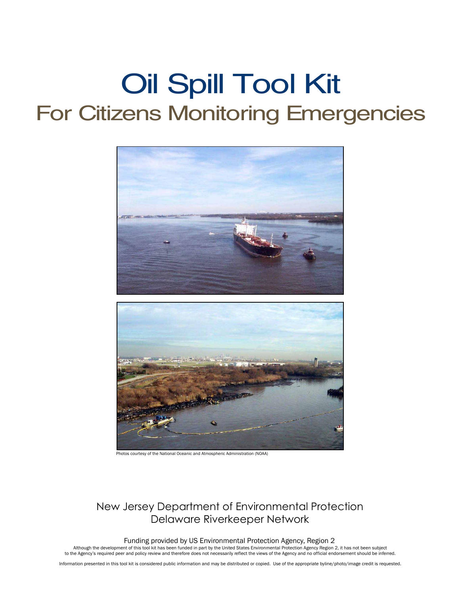# Oil Spill Tool Kit For Citizens Monitoring Emergencies



Photos courtesy of the National Oceanic and Atmospheric Administration (NOAA)

# New Jersey Department of Environmental Protection Delaware Riverkeeper Network

Funding provided by US Environmental Protection Agency, Region 2

Although the development of this tool kit has been funded in part by the United States Environmental Protection Agency Region 2, it has not been subject<br>to the Agency's required peer and policy review and therefore does no

Information presented in this tool kit is considered public information and may be distributed or copied. Use of the appropriate byline/photo/image credit is requested.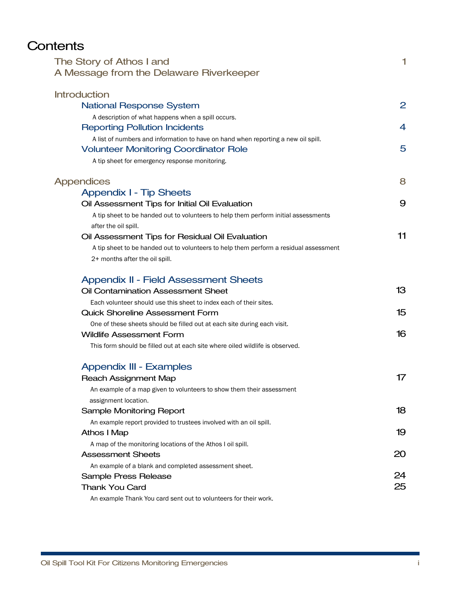# **Contents**

| The Story of Athos I and<br>A Message from the Delaware Riverkeeper                   | 1              |
|---------------------------------------------------------------------------------------|----------------|
| <b>Introduction</b>                                                                   |                |
| <b>National Response System</b>                                                       | $\overline{2}$ |
| A description of what happens when a spill occurs.                                    |                |
| <b>Reporting Pollution Incidents</b>                                                  | 4              |
| A list of numbers and information to have on hand when reporting a new oil spill.     |                |
| <b>Volunteer Monitoring Coordinator Role</b>                                          | 5              |
| A tip sheet for emergency response monitoring.                                        |                |
| <b>Appendices</b>                                                                     | 8              |
| <b>Appendix I - Tip Sheets</b>                                                        |                |
| Oil Assessment Tips for Initial Oil Evaluation                                        | 9              |
| A tip sheet to be handed out to volunteers to help them perform initial assessments   |                |
| after the oil spill.                                                                  |                |
| Oil Assessment Tips for Residual Oil Evaluation                                       | 11             |
| A tip sheet to be handed out to volunteers to help them perform a residual assessment |                |
| 2+ months after the oil spill.                                                        |                |
| <b>Appendix II - Field Assessment Sheets</b>                                          |                |
| <b>Oil Contamination Assessment Sheet</b>                                             | 13             |
| Each volunteer should use this sheet to index each of their sites.                    |                |
| <b>Quick Shoreline Assessment Form</b>                                                | 15             |
| One of these sheets should be filled out at each site during each visit.              |                |
| <b>Wildlife Assessment Form</b>                                                       | 16             |
| This form should be filled out at each site where oiled wildlife is observed.         |                |
| <b>Appendix III - Examples</b>                                                        |                |
| <b>Reach Assignment Map</b>                                                           | 17             |
| An example of a map given to volunteers to show them their assessment                 |                |
| assignment location.                                                                  |                |
| Sample Monitoring Report                                                              | 18             |
| An example report provided to trustees involved with an oil spill.                    |                |
| <b>Athos I Map</b>                                                                    | 19             |
| A map of the monitoring locations of the Athos I oil spill.                           |                |
| <b>Assessment Sheets</b>                                                              | 20             |
| An example of a blank and completed assessment sheet.                                 |                |
| Sample Press Release                                                                  | 24             |
| <b>Thank You Card</b>                                                                 | 25             |
| An example Thank You card sent out to volunteers for their work.                      |                |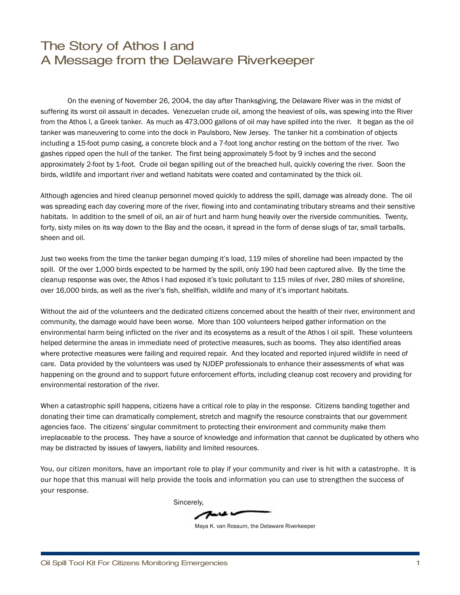# The Story of Athos I and A Message from the Delaware Riverkeeper

On the evening of November 26, 2004, the day after Thanksgiving, the Delaware River was in the midst of suffering its worst oil assault in decades. Venezuelan crude oil, among the heaviest of oils, was spewing into the River from the Athos I, a Greek tanker. As much as 473,000 gallons of oil may have spilled into the river. It began as the oil tanker was maneuvering to come into the dock in Paulsboro, New Jersey. The tanker hit a combination of objects including a 15-foot pump casing, a concrete block and a 7-foot long anchor resting on the bottom of the river. Two gashes ripped open the hull of the tanker. The first being approximately 5-foot by 9 inches and the second approximately 2-foot by 1-foot. Crude oil began spilling out of the breached hull, quickly covering the river. Soon the birds, wildlife and important river and wetland habitats were coated and contaminated by the thick oil.

Although agencies and hired cleanup personnel moved quickly to address the spill, damage was already done. The oil was spreading each day covering more of the river, flowing into and contaminating tributary streams and their sensitive habitats. In addition to the smell of oil, an air of hurt and harm hung heavily over the riverside communities. Twenty, forty, sixty miles on its way down to the Bay and the ocean, it spread in the form of dense slugs of tar, small tarballs, sheen and oil.

Just two weeks from the time the tanker began dumping it's load, 119 miles of shoreline had been impacted by the spill. Of the over 1,000 birds expected to be harmed by the spill, only 190 had been captured alive. By the time the cleanup response was over, the Athos I had exposed it's toxic pollutant to 115 miles of river, 280 miles of shoreline, over 16,000 birds, as well as the river's fish, shellfish, wildlife and many of it's important habitats.

Without the aid of the volunteers and the dedicated citizens concerned about the health of their river, environment and community, the damage would have been worse. More than 100 volunteers helped gather information on the environmental harm being inflicted on the river and its ecosystems as a result of the Athos I oil spill. These volunteers helped determine the areas in immediate need of protective measures, such as booms. They also identified areas where protective measures were failing and required repair. And they located and reported injured wildlife in need of care. Data provided by the volunteers was used by NJDEP professionals to enhance their assessments of what was happening on the ground and to support future enforcement efforts, including cleanup cost recovery and providing for environmental restoration of the river.

When a catastrophic spill happens, citizens have a critical role to play in the response. Citizens banding together and donating their time can dramatically complement, stretch and magnify the resource constraints that our government agencies face. The citizens' singular commitment to protecting their environment and community make them irreplaceable to the process. They have a source of knowledge and information that cannot be duplicated by others who may be distracted by issues of lawyers, liability and limited resources.

You, our citizen monitors, have an important role to play if your community and river is hit with a catastrophe. It is our hope that this manual will help provide the tools and information you can use to strengthen the success of your response.

Sincerely,

Maya K. van Rossum, the Delaware Riverkeeper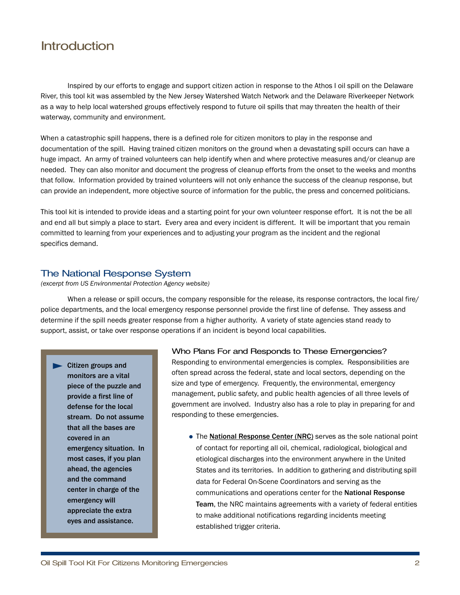# **Introduction**

Inspired by our efforts to engage and support citizen action in response to the Athos I oil spill on the Delaware River, this tool kit was assembled by the New Jersey Watershed Watch Network and the Delaware Riverkeeper Network as a way to help local watershed groups effectively respond to future oil spills that may threaten the health of their waterway, community and environment.

When a catastrophic spill happens, there is a defined role for citizen monitors to play in the response and documentation of the spill. Having trained citizen monitors on the ground when a devastating spill occurs can have a huge impact. An army of trained volunteers can help identify when and where protective measures and/or cleanup are needed. They can also monitor and document the progress of cleanup efforts from the onset to the weeks and months that follow. Information provided by trained volunteers will not only enhance the success of the cleanup response, but can provide an independent, more objective source of information for the public, the press and concerned politicians.

This tool kit is intended to provide ideas and a starting point for your own volunteer response effort. It is not the be all and end all but simply a place to start. Every area and every incident is different. It will be important that you remain committed to learning from your experiences and to adjusting your program as the incident and the regional specifics demand.

## The National Response System

*(excerpt from US Environmental Protection Agency website)*

When a release or spill occurs, the company responsible for the release, its response contractors, the local fire/ police departments, and the local emergency response personnel provide the first line of defense. They assess and determine if the spill needs greater response from a higher authority. A variety of state agencies stand ready to support, assist, or take over response operations if an incident is beyond local capabilities.

**Citizen groups and monitors are a vital piece of the puzzle and provide a first line of defense for the local stream. Do not assume that all the bases are covered in an emergency situation. In most cases, if you plan ahead, the agencies and the command center in charge of the emergency will appreciate the extra eyes and assistance.**

## Who Plans For and Responds to These Emergencies?

Responding to environmental emergencies is complex. Responsibilities are often spread across the federal, state and local sectors, depending on the size and type of emergency. Frequently, the environmental, emergency management, public safety, and public health agencies of all three levels of government are involved. Industry also has a role to play in preparing for and responding to these emergencies.

The **National Response Center (NRC)** serves as the sole national point of contact for reporting all oil, chemical, radiological, biological and etiological discharges into the environment anywhere in the United States and its territories. In addition to gathering and distributing spill data for Federal On-Scene Coordinators and serving as the communications and operations center for the **National Response Team**, the NRC maintains agreements with a variety of federal entities to make additional notifications regarding incidents meeting established trigger criteria.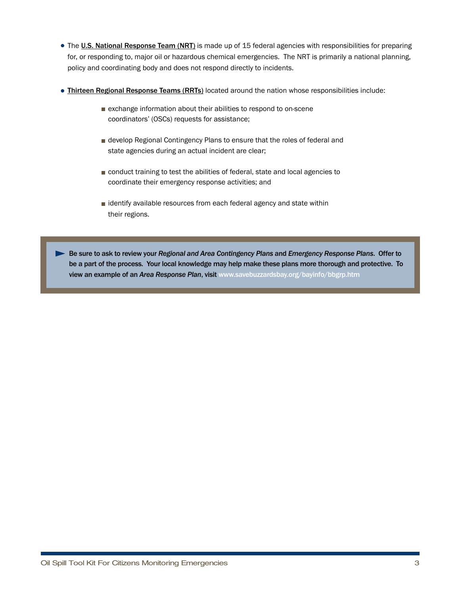- The **U.S. National Response Team (NRT)** is made up of 15 federal agencies with responsibilities for preparing for, or responding to, major oil or hazardous chemical emergencies. The NRT is primarily a national planning, policy and coordinating body and does not respond directly to incidents.
- **Thirteen Regional Response Teams (RRTs)** located around the nation whose responsibilities include:
	- exchange information about their abilities to respond to on-scene coordinators' (OSCs) requests for assistance;
	- develop Regional Contingency Plans to ensure that the roles of federal and state agencies during an actual incident are clear;
	- conduct training to test the abilities of federal, state and local agencies to coordinate their emergency response activities; and
	- identify available resources from each federal agency and state within their regions.

**Be sure to ask to review your** *Regional and Area Contingency Plans* **and** *Emergency Response Plans***. Offer to be a part of the process. Your local knowledge may help make these plans more thorough and protective. To view an example of an** *Area Response Plan***, visit www.savebuzzardsbay.org/bayinfo/bbgrp.htm**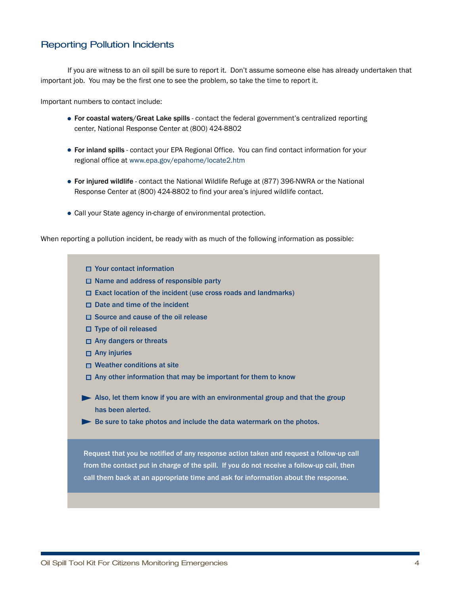## Reporting Pollution Incidents

If you are witness to an oil spill be sure to report it. Don't assume someone else has already undertaken that important job. You may be the first one to see the problem, so take the time to report it.

Important numbers to contact include:

- **For coastal waters/Great Lake spills** contact the federal government's centralized reporting center, National Response Center at (800) 424-8802
- **For inland spills** contact your EPA Regional Office. You can find contact information for your regional office at www.epa.gov/epahome/locate2.htm
- **For injured wildlife** contact the National Wildlife Refuge at (877) 396-NWRA or the National Response Center at (800) 424-8802 to find your area's injured wildlife contact.
- Call your State agency in-charge of environmental protection.

When reporting a pollution incident, be ready with as much of the following information as possible:

- **Your contact information**
- **Name and address of responsible party**
- **Exact location of the incident (use cross roads and landmarks)**
- **Date and time of the incident**
- **Source and cause of the oil release**
- **Type of oil released**
- **Any dangers or threats**
- **Any injuries**
- **Weather conditions at site**
- **Any other information that may be important for them to know**
- **Also, let them know if you are with an environmental group and that the group has been alerted.**
- **Be sure to take photos and include the data watermark on the photos.**

**Request that you be notified of any response action taken and request a follow-up call from the contact put in charge of the spill. If you do not receive a follow-up call, then call them back at an appropriate time and ask for information about the response.**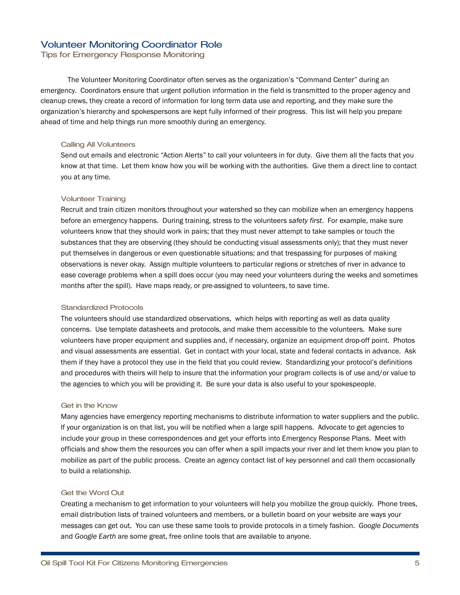## Volunteer Monitoring Coordinator Role

Tips for Emergency Response Monitoring

The Volunteer Monitoring Coordinator often serves as the organization's "Command Center" during an emergency. Coordinators ensure that urgent pollution information in the field is transmitted to the proper agency and cleanup crews, they create a record of information for long term data use and reporting, and they make sure the organization's hierarchy and spokespersons are kept fully informed of their progress. This list will help you prepare ahead of time and help things run more smoothly during an emergency.

## Calling All Volunteers

Send out emails and electronic "Action Alerts" to call your volunteers in for duty. Give them all the facts that you know at that time. Let them know how you will be working with the authorities. Give them a direct line to contact you at any time.

## Volunteer Training

Recruit and train citizen monitors throughout your watershed so they can mobilize when an emergency happens before an emergency happens. During training, stress to the volunteers *safety first*. For example, make sure volunteers know that they should work in pairs; that they must never attempt to take samples or touch the substances that they are observing (they should be conducting visual assessments only); that they must never put themselves in dangerous or even questionable situations; and that trespassing for purposes of making observations is never okay. Assign multiple volunteers to particular regions or stretches of river in advance to ease coverage problems when a spill does occur (you may need your volunteers during the weeks and sometimes months after the spill). Have maps ready, or pre-assigned to volunteers, to save time.

#### Standardized Protocols

The volunteers should use standardized observations, which helps with reporting as well as data quality concerns. Use template datasheets and protocols, and make them accessible to the volunteers. Make sure volunteers have proper equipment and supplies and, if necessary, organize an equipment drop-off point. Photos and visual assessments are essential. Get in contact with your local, state and federal contacts in advance. Ask them if they have a protocol they use in the field that you could review. Standardizing your protocol's definitions and procedures with theirs will help to insure that the information your program collects is of use and/or value to the agencies to which you will be providing it. Be sure your data is also useful to your spokespeople.

## Get in the Know

Many agencies have emergency reporting mechanisms to distribute information to water suppliers and the public. If your organization is on that list, you will be notified when a large spill happens. Advocate to get agencies to include your group in these correspondences and get your efforts into Emergency Response Plans. Meet with officials and show them the resources you can offer when a spill impacts your river and let them know you plan to mobilize as part of the public process. Create an agency contact list of key personnel and call them occasionally to build a relationship.

## Get the Word Out

Creating a mechanism to get information to your volunteers will help you mobilize the group quickly. Phone trees, email distribution lists of trained volunteers and members, or a bulletin board on your website are ways your messages can get out. You can use these same tools to provide protocols in a timely fashion. *Google Documents* and *Google Earth* are some great, free online tools that are available to anyone.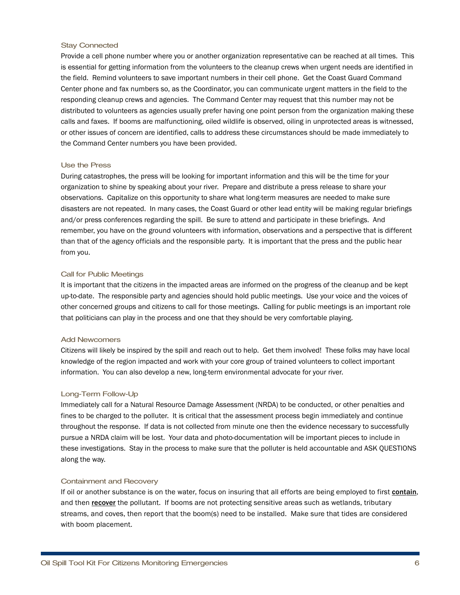## Stay Connected

Provide a cell phone number where you or another organization representative can be reached at all times. This is essential for getting information from the volunteers to the cleanup crews when urgent needs are identified in the field. Remind volunteers to save important numbers in their cell phone. Get the Coast Guard Command Center phone and fax numbers so, as the Coordinator, you can communicate urgent matters in the field to the responding cleanup crews and agencies. The Command Center may request that this number may not be distributed to volunteers as agencies usually prefer having one point person from the organization making these calls and faxes. If booms are malfunctioning, oiled wildlife is observed, oiling in unprotected areas is witnessed, or other issues of concern are identified, calls to address these circumstances should be made immediately to the Command Center numbers you have been provided.

#### Use the Press

During catastrophes, the press will be looking for important information and this will be the time for your organization to shine by speaking about your river. Prepare and distribute a press release to share your observations. Capitalize on this opportunity to share what long-term measures are needed to make sure disasters are not repeated. In many cases, the Coast Guard or other lead entity will be making regular briefings and/or press conferences regarding the spill. Be sure to attend and participate in these briefings. And remember, you have on the ground volunteers with information, observations and a perspective that is different than that of the agency officials and the responsible party. It is important that the press and the public hear from you.

#### Call for Public Meetings

It is important that the citizens in the impacted areas are informed on the progress of the cleanup and be kept up-to-date. The responsible party and agencies should hold public meetings. Use your voice and the voices of other concerned groups and citizens to call for those meetings. Calling for public meetings is an important role that politicians can play in the process and one that they should be very comfortable playing.

#### Add Newcomers

Citizens will likely be inspired by the spill and reach out to help. Get them involved! These folks may have local knowledge of the region impacted and work with your core group of trained volunteers to collect important information. You can also develop a new, long-term environmental advocate for your river.

#### Long-Term Follow-Up

Immediately call for a Natural Resource Damage Assessment (NRDA) to be conducted, or other penalties and fines to be charged to the polluter. It is critical that the assessment process begin immediately and continue throughout the response. If data is not collected from minute one then the evidence necessary to successfully pursue a NRDA claim will be lost. Your data and photo-documentation will be important pieces to include in these investigations. Stay in the process to make sure that the polluter is held accountable and ASK QUESTIONS along the way.

#### Containment and Recovery

If oil or another substance is on the water, focus on insuring that all efforts are being employed to first **contain**, and then **recover** the pollutant. If booms are not protecting sensitive areas such as wetlands, tributary streams, and coves, then report that the boom(s) need to be installed. Make sure that tides are considered with boom placement.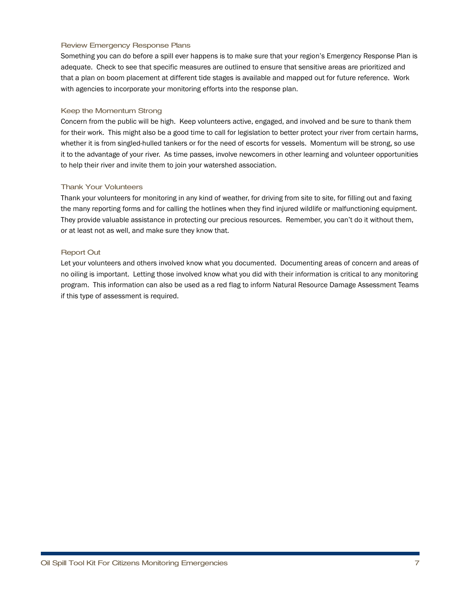## Review Emergency Response Plans

Something you can do before a spill ever happens is to make sure that your region's Emergency Response Plan is adequate. Check to see that specific measures are outlined to ensure that sensitive areas are prioritized and that a plan on boom placement at different tide stages is available and mapped out for future reference. Work with agencies to incorporate your monitoring efforts into the response plan.

## Keep the Momentum Strong

Concern from the public will be high. Keep volunteers active, engaged, and involved and be sure to thank them for their work. This might also be a good time to call for legislation to better protect your river from certain harms, whether it is from singled-hulled tankers or for the need of escorts for vessels. Momentum will be strong, so use it to the advantage of your river. As time passes, involve newcomers in other learning and volunteer opportunities to help their river and invite them to join your watershed association.

## Thank Your Volunteers

Thank your volunteers for monitoring in any kind of weather, for driving from site to site, for filling out and faxing the many reporting forms and for calling the hotlines when they find injured wildlife or malfunctioning equipment. They provide valuable assistance in protecting our precious resources. Remember, you can't do it without them, or at least not as well, and make sure they know that.

## Report Out

Let your volunteers and others involved know what you documented. Documenting areas of concern and areas of no oiling is important. Letting those involved know what you did with their information is critical to any monitoring program. This information can also be used as a red flag to inform Natural Resource Damage Assessment Teams if this type of assessment is required.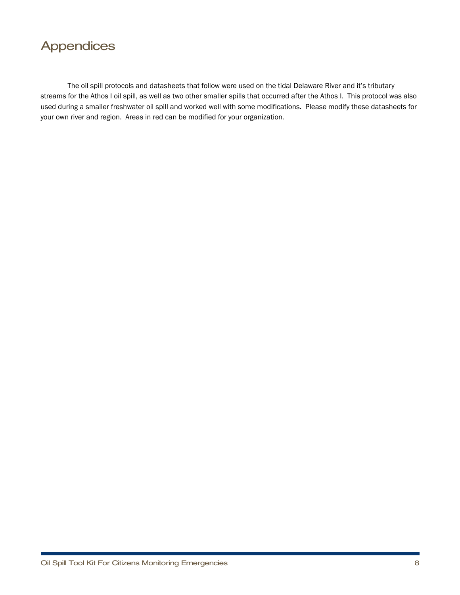

The oil spill protocols and datasheets that follow were used on the tidal Delaware River and it's tributary streams for the Athos I oil spill, as well as two other smaller spills that occurred after the Athos I. This protocol was also used during a smaller freshwater oil spill and worked well with some modifications. Please modify these datasheets for your own river and region. Areas in red can be modified for your organization.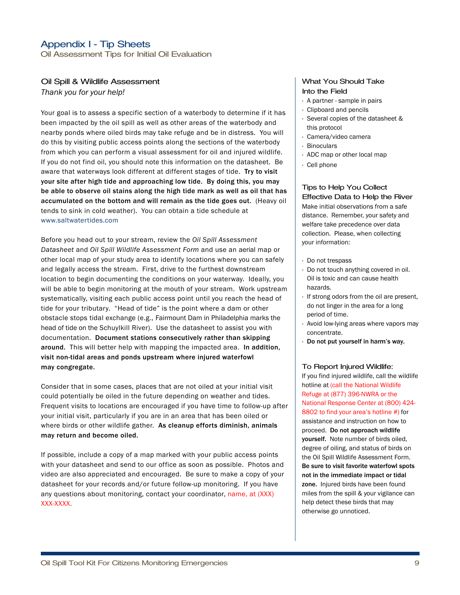Oil Assessment Tips for Initial Oil Evaluation

## Oil Spill & Wildlife Assessment

*Thank you for your help!*

Your goal is to assess a specific section of a waterbody to determine if it has been impacted by the oil spill as well as other areas of the waterbody and nearby ponds where oiled birds may take refuge and be in distress. You will do this by visiting public access points along the sections of the waterbody from which you can perform a visual assessment for oil and injured wildlife. If you do not find oil, you should note this information on the datasheet. Be aware that waterways look different at different stages of tide. **Try to visit your site after high tide and approaching low tide. By doing this, you may be able to observe oil stains along the high tide mark as well as oil that has accumulated on the bottom and will remain as the tide goes out.** (Heavy oil tends to sink in cold weather). You can obtain a tide schedule at www.saltwatertides.com

Before you head out to your stream, review the *Oil Spill Assessment Datasheet* and *Oil Spill Wildlife Assessment Form* and use an aerial map or other local map of your study area to identify locations where you can safely and legally access the stream. First, drive to the furthest downstream location to begin documenting the conditions on your waterway. Ideally, you will be able to begin monitoring at the mouth of your stream. Work upstream systematically, visiting each public access point until you reach the head of tide for your tributary. "Head of tide" is the point where a dam or other obstacle stops tidal exchange (e.g., Fairmount Dam in Philadelphia marks the head of tide on the Schuylkill River). Use the datasheet to assist you with documentation. **Document stations consecutively rather than skipping around.** This will better help with mapping the impacted area. **In addition, visit non-tidal areas and ponds upstream where injured waterfowl may congregate.**

Consider that in some cases, places that are not oiled at your initial visit could potentially be oiled in the future depending on weather and tides. Frequent visits to locations are encouraged if you have time to follow-up after your initial visit, particularly if you are in an area that has been oiled or where birds or other wildlife gather. **As cleanup efforts diminish, animals may return and become oiled.**

If possible, include a copy of a map marked with your public access points with your datasheet and send to our office as soon as possible. Photos and video are also appreciated and encouraged. Be sure to make a copy of your datasheet for your records and/or future follow-up monitoring. If you have any questions about monitoring, contact your coordinator, name, at (XXX) XXX-XXXX.

## What You Should Take Into the Field

- · A partner sample in pairs
- · Clipboard and pencils
- · Several copies of the datasheet & this protocol
- · Camera/video camera
- · Binoculars
- · ADC map or other local map
- · Cell phone

## Tips to Help You Collect

Effective Data to Help the River Make initial observations from a safe distance. Remember, your safety and welfare take precedence over data collection. Please, when collecting your information:

- · Do not trespass
- · Do not touch anything covered in oil. Oil is toxic and can cause health hazards.
- · If strong odors from the oil are present, do not linger in the area for a long period of time.
- · Avoid low-lying areas where vapors may concentrate.
- · **Do not put yourself in harm's way.**

#### To Report Injured Wildlife:

If you find injured wildlife, call the wildlife hotline at (call the National Wildlife Refuge at (877) 396-NWRA or the National Response Center at (800) 424- 8802 to find your area's hotline #) for assistance and instruction on how to proceed. **Do not approach wildlife yourself.** Note number of birds oiled, degree of oiling, and status of birds on the Oil Spill Wildlife Assessment Form. **Be sure to visit favorite waterfowl spots not in the immediate impact or tidal zone.** Injured birds have been found miles from the spill & your vigilance can help detect these birds that may otherwise go unnoticed.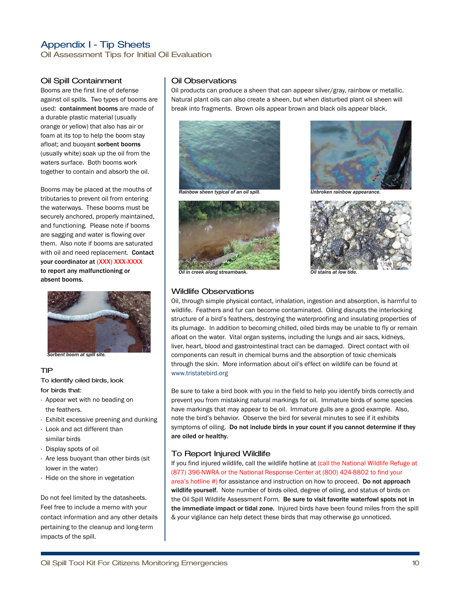Oil Assessment Tips for Initial Oil Evaluation

## Oil Spill Containment

Booms are the first line of defense against oil spills. Two types of booms are used: **containment booms** are made of a durable plastic material (usually orange or yellow) that also has air or foam at its top to help the boom stay afloat; and buoyant **sorbent booms** (usually white) soak up the oil from the waters surface. Both booms work together to contain and absorb the oil.

Booms may be placed at the mouths of tributaries to prevent oil from entering the waterways. These booms must be securely anchored, properly maintained, and functioning. Please note if booms are sagging and water is flowing over them. Also note if booms are saturated with oil and need replacement. **Contact your coordinator at (XXX) XXX-XXXX to report any malfunctioning or absent booms.**



*Sorbent boom at spill site.*

## TIP

To identify oiled birds, look for birds that:

- · Appear wet with no beading on the feathers.
- · Exhibit excessive preening and dunking
- · Look and act different than similar birds
- · Display spots of oil
- · Are less buoyant than other birds (sit lower in the water)
- · Hide on the shore in vegetation

Do not feel limited by the datasheets. Feel free to include a memo with your contact information and any other details pertaining to the cleanup and long-term impacts of the spill.

## Oil Observations

Oil products can produce a sheen that can appear silver/gray, rainbow or metallic. Natural plant oils can also create a sheen, but when disturbed plant oil sheen will break into fragments. Brown oils appear brown and black oils appear black.











## Wildlife Observations

Oil, through simple physical contact, inhalation, ingestion and absorption, is harmful to wildlife. Feathers and fur can become contaminated. Oiling disrupts the interlocking structure of a bird's feathers, destroying the waterproofing and insulating properties of its plumage. In addition to becoming chilled, oiled birds may be unable to fly or remain afloat on the water. Vital organ systems, including the lungs and air sacs, kidneys, liver, heart, blood and gastrointestinal tract can be damaged. Direct contact with oil components can result in chemical burns and the absorption of toxic chemicals through the skin. More information about oil's effect on wildlife can be found at www.tristatebird.org

Be sure to take a bird book with you in the field to help you identify birds correctly and prevent you from mistaking natural markings for oil. Immature birds of some species have markings that may appear to be oil. Immature gulls are a good example. Also, note the bird's behavior. Observe the bird for several minutes to see if it exhibits symptoms of oiling. **Do not include birds in your count if you cannot determine if they are oiled or healthy.**

## To Report Injured Wildlife

If you find injured wildlife, call the wildlife hotline at (call the National Wildlife Refuge at (877) 396-NWRA or the National Response Center at (800) 424-8802 to find your area's hotline #) for assistance and instruction on how to proceed. **Do not approach wildlife yourself.** Note number of birds oiled, degree of oiling, and status of birds on the Oil Spill Wildlife Assessment Form. **Be sure to visit favorite waterfowl spots not in the immediate impact or tidal zone.** Injured birds have been found miles from the spill & your vigilance can help detect these birds that may otherwise go unnoticed.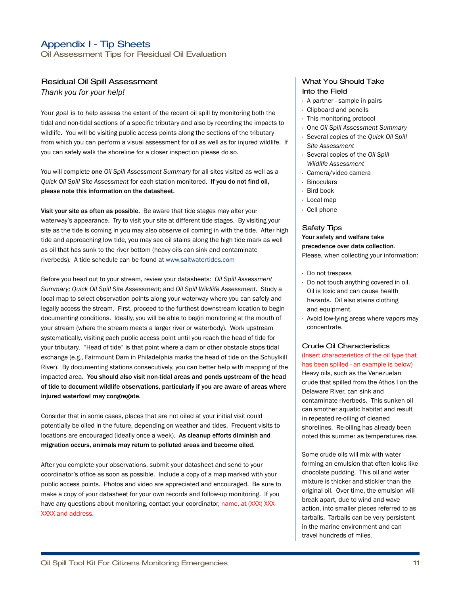Oil Assessment Tips for Residual Oil Evaluation

#### Residual Oil Spill Assessment

*Thank you for your help!*

Your goal is to help assess the extent of the recent oil spill by monitoring both the tidal and non-tidal sections of a specific tributary and also by recording the impacts to wildlife. You will be visiting public access points along the sections of the tributary from which you can perform a visual assessment for oil as well as for injured wildlife. If you can safely walk the shoreline for a closer inspection please do so.

You will complete **one** *Oil Spill Assessment Summary* for all sites visited as well as a *Quick Oil Spill Site Assessment* for each station monitored. **If you do not find oil, please note this information on the datasheet.**

**Visit your site as often as possible.** Be aware that tide stages may alter your waterway's appearance. Try to visit your site at different tide stages. By visiting your site as the tide is coming in you may also observe oil coming in with the tide. After high tide and approaching low tide, you may see oil stains along the high tide mark as well as oil that has sunk to the river bottom (heavy oils can sink and contaminate riverbeds). A tide schedule can be found at www.saltwatertides.com

Before you head out to your stream, review your datasheets: *Oil Spill Assessment Summary; Quick Oil Spill Site Assessment;* and *Oil Spill Wildlife Assessment*. Study a local map to select observation points along your waterway where you can safely and legally access the stream. First, proceed to the furthest downstream location to begin documenting conditions. Ideally, you will be able to begin monitoring at the mouth of your stream (where the stream meets a larger river or waterbody). Work upstream systematically, visiting each public access point until you reach the head of tide for your tributary. "Head of tide" is that point where a dam or other obstacle stops tidal exchange (e.g., Fairmount Dam in Philadelphia marks the head of tide on the Schuylkill River). By documenting stations consecutively, you can better help with mapping of the impacted area. **You should also visit non-tidal areas and ponds upstream of the head of tide to document wildlife observations, particularly if you are aware of areas where injured waterfowl may congregate.**

Consider that in some cases, places that are not oiled at your initial visit could potentially be oiled in the future, depending on weather and tides. Frequent visits to locations are encouraged (ideally once a week). **As cleanup efforts diminish and migration occurs, animals may return to polluted areas and become oiled.**

After you complete your observations, submit your datasheet and send to your coordinator's office as soon as possible. Include a copy of a map marked with your public access points. Photos and video are appreciated and encouraged. Be sure to make a copy of your datasheet for your own records and follow-up monitoring. If you have any questions about monitoring, contact your coordinator, name, at (XXX) XXX-XXXX and address.

## What You Should Take Into the Field

- · A partner sample in pairs
- · Clipboard and pencils
- · This monitoring protocol
- · One *Oil Spill Assessment Summary*
- · Several copies of the *Quick Oil Spill Site Assessment*
- · Several copies of the *Oil Spill Wildlife Assessment*
- · Camera/video camera
- · Binoculars
- · Bird book
- · Local map
- · Cell phone

#### Safety Tips

## **Your safety and welfare take precedence over data collection.** Please, when collecting your information:

- · Do not trespass
- · Do not touch anything covered in oil. Oil is toxic and can cause health hazards. Oil also stains clothing and equipment.
- · Avoid low-lying areas where vapors may concentrate.

#### Crude Oil Characteristics

(Insert characteristics of the oil type that has been spilled - an example is below) Heavy oils, such as the Venezuelan crude that spilled from the Athos I on the Delaware River, can sink and contaminate riverbeds. This sunken oil can smother aquatic habitat and result in repeated re-oiling of cleaned shorelines. Re-oiling has already been noted this summer as temperatures rise.

Some crude oils will mix with water forming an emulsion that often looks like chocolate pudding. This oil and water mixture is thicker and stickier than the original oil. Over time, the emulsion will break apart, due to wind and wave action, into smaller pieces referred to as tarballs. Tarballs can be very persistent in the marine environment and can travel hundreds of miles.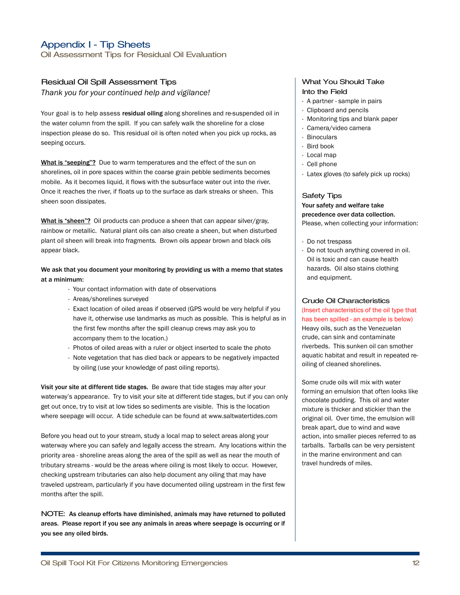Oil Assessment Tips for Residual Oil Evaluation

## Residual Oil Spill Assessment Tips

*Thank you for your continued help and vigilance!*

Your goal is to help assess **residual oiling** along shorelines and re-suspended oil in the water column from the spill. If you can safely walk the shoreline for a close inspection please do so. This residual oil is often noted when you pick up rocks, as seeping occurs.

**What is "seeping"?** Due to warm temperatures and the effect of the sun on shorelines, oil in pore spaces within the coarse grain pebble sediments becomes mobile. As it becomes liquid, it flows with the subsurface water out into the river. Once it reaches the river, if floats up to the surface as dark streaks or sheen. This sheen soon dissipates.

**What is "sheen"?** Oil products can produce a sheen that can appear silver/gray, rainbow or metallic. Natural plant oils can also create a sheen, but when disturbed plant oil sheen will break into fragments. Brown oils appear brown and black oils appear black.

**We ask that you document your monitoring by providing us with a memo that states at a minimum:**

- · Your contact information with date of observations
- · Areas/shorelines surveyed
- · Exact location of oiled areas if observed (GPS would be very helpful if you have it, otherwise use landmarks as much as possible. This is helpful as in the first few months after the spill cleanup crews may ask you to accompany them to the location.)
- · Photos of oiled areas with a ruler or object inserted to scale the photo
- · Note vegetation that has died back or appears to be negatively impacted by oiling (use your knowledge of past oiling reports).

**Visit your site at different tide stages.** Be aware that tide stages may alter your waterway's appearance. Try to visit your site at different tide stages, but if you can only get out once, try to visit at low tides so sediments are visible. This is the location where seepage will occur. A tide schedule can be found at www.saltwatertides.com

Before you head out to your stream, study a local map to select areas along your waterway where you can safely and legally access the stream. Any locations within the priority area - shoreline areas along the area of the spill as well as near the mouth of tributary streams - would be the areas where oiling is most likely to occur. However, checking upstream tributaries can also help document any oiling that may have traveled upstream, particularly if you have documented oiling upstream in the first few months after the spill.

NOTE: **As cleanup efforts have diminished, animals may have returned to polluted areas. Please report if you see any animals in areas where seepage is occurring or if you see any oiled birds.**

## What You Should Take Into the Field

- · A partner sample in pairs
- · Clipboard and pencils
- · Monitoring tips and blank paper
- · Camera/video camera
- · Binoculars
- · Bird book
- · Local map
- · Cell phone
- · Latex gloves (to safely pick up rocks)

#### Safety Tips

## **Your safety and welfare take precedence over data collection.** Please, when collecting your information:

- · Do not trespass
- · Do not touch anything covered in oil. Oil is toxic and can cause health hazards. Oil also stains clothing and equipment.

#### Crude Oil Characteristics

(Insert characteristics of the oil type that has been spilled - an example is below) Heavy oils, such as the Venezuelan crude, can sink and contaminate riverbeds. This sunken oil can smother aquatic habitat and result in repeated reoiling of cleaned shorelines.

Some crude oils will mix with water forming an emulsion that often looks like chocolate pudding. This oil and water mixture is thicker and stickier than the original oil. Over time, the emulsion will break apart, due to wind and wave action, into smaller pieces referred to as tarballs. Tarballs can be very persistent in the marine environment and can travel hundreds of miles.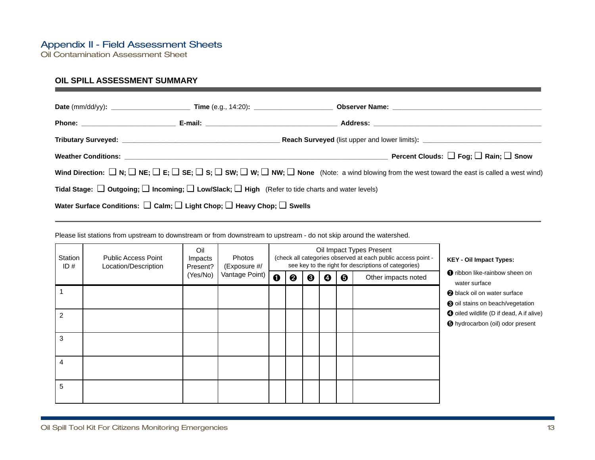Oil Contamination Assessment Sheet

## **OIL SPILL ASSESSMENT SUMMARY**

|                                                                                                                      | Reach Surveyed (list upper and lower limits): __________________________________                                                                                                            |
|----------------------------------------------------------------------------------------------------------------------|---------------------------------------------------------------------------------------------------------------------------------------------------------------------------------------------|
|                                                                                                                      | Percent Clouds: $\Box$ Fog; $\Box$ Rain; $\Box$ Snow                                                                                                                                        |
|                                                                                                                      | Wind Direction: $\Box$ N; $\Box$ NE; $\Box$ E; $\Box$ SE; $\Box$ Si; $\Box$ SW; $\Box$ W; $\Box$ NW; $\Box$ None (Note: a wind blowing from the west toward the east is called a west wind) |
| Tidal Stage: $\Box$ Outgoing; $\Box$ Incoming; $\Box$ Low/Slack; $\Box$ High (Refer to tide charts and water levels) |                                                                                                                                                                                             |
| Water Surface Conditions: $\square$ Calm; $\square$ Light Chop; $\square$ Heavy Chop; $\square$ Swells               |                                                                                                                                                                                             |

Please list stations from upstream to downstream or from downstream to upstream - do not skip around the watershed.

| Station<br>ID# | <b>Public Access Point</b><br>Location/Description | Oil<br>Impacts<br>Present? | <b>Photos</b><br>(Exposure #/ |             |   |   |   | Oil Impact Types Present<br>(check all categories observed at each public access point -<br>see key to the right for descriptions of categories) | <b>KEY - Oil Impact Types:</b> |                                                                                            |
|----------------|----------------------------------------------------|----------------------------|-------------------------------|-------------|---|---|---|--------------------------------------------------------------------------------------------------------------------------------------------------|--------------------------------|--------------------------------------------------------------------------------------------|
|                |                                                    | (Yes/No)                   | Vantage Point)                | $\mathbf 0$ | ❷ | ❸ | Ø | $\boldsymbol{\Theta}$                                                                                                                            | Other impacts noted            | <b>O</b> ribbon like-rainbow sheen on<br>water surface                                     |
|                |                                                    |                            |                               |             |   |   |   |                                                                                                                                                  |                                | <b>2</b> black oil on water surface<br>to oil stains on beach/vegetation                   |
| 2              |                                                    |                            |                               |             |   |   |   |                                                                                                                                                  |                                | <b>4</b> oiled wildlife (D if dead, A if alive)<br><b>O</b> hydrocarbon (oil) odor present |
| 3              |                                                    |                            |                               |             |   |   |   |                                                                                                                                                  |                                |                                                                                            |
| 4              |                                                    |                            |                               |             |   |   |   |                                                                                                                                                  |                                |                                                                                            |
| 5              |                                                    |                            |                               |             |   |   |   |                                                                                                                                                  |                                |                                                                                            |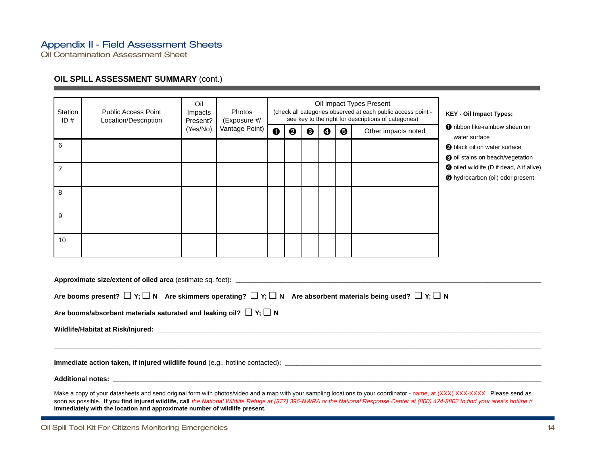## Appendix II - Field Assessment Sheets

Oil Contamination Assessment Sheet

## **OIL SPILL ASSESSMENT SUMMARY (cont.)**

| Station<br>ID# | <b>Public Access Point</b><br>Location/Description | Oil<br>Impacts<br>Present? | Photos<br>(Exposure #/ |             |   | <b>KEY - Oil Impact Types:</b> |   |                       |                     |                                                                                            |
|----------------|----------------------------------------------------|----------------------------|------------------------|-------------|---|--------------------------------|---|-----------------------|---------------------|--------------------------------------------------------------------------------------------|
|                |                                                    | (Yes/No)                   | Vantage Point)         | $\mathbf 0$ | ❷ | ❸                              | ❹ | $\boldsymbol{\Theta}$ | Other impacts noted | <b>O</b> ribbon like-rainbow sheen on<br>water surface                                     |
| 6              |                                                    |                            |                        |             |   |                                |   |                       |                     | <b>2</b> black oil on water surface<br>oil stains on beach/vegetation                      |
| $\overline{7}$ |                                                    |                            |                        |             |   |                                |   |                       |                     | <b>O</b> oiled wildlife (D if dead, A if alive)<br><b>O</b> hydrocarbon (oil) odor present |
| 8              |                                                    |                            |                        |             |   |                                |   |                       |                     |                                                                                            |
| 9              |                                                    |                            |                        |             |   |                                |   |                       |                     |                                                                                            |
| 10             |                                                    |                            |                        |             |   |                                |   |                       |                     |                                                                                            |

| Approximate size/extent of oiled area (estimate sq. feet): example and area of the state of the state of the state of the state of the state of the state of the state of the state of the state of the state of the state of                                                                                                                                                                                                                    |
|--------------------------------------------------------------------------------------------------------------------------------------------------------------------------------------------------------------------------------------------------------------------------------------------------------------------------------------------------------------------------------------------------------------------------------------------------|
| Are booms present? $\Box$ Y; $\Box$ N Are skimmers operating? $\Box$ Y; $\Box$ N Are absorbent materials being used? $\Box$ Y; $\Box$ N                                                                                                                                                                                                                                                                                                          |
| Are booms/absorbent materials saturated and leaking oil? $\Box$ Y; $\Box$ N                                                                                                                                                                                                                                                                                                                                                                      |
|                                                                                                                                                                                                                                                                                                                                                                                                                                                  |
|                                                                                                                                                                                                                                                                                                                                                                                                                                                  |
|                                                                                                                                                                                                                                                                                                                                                                                                                                                  |
|                                                                                                                                                                                                                                                                                                                                                                                                                                                  |
| Make a copy of your datasheets and send original form with photos/video and a map with your sampling locations to your coordinator - name, at (XXX) XXX-XXXX. Please send as<br>soon as possible. If you find injured wildlife, call the National Wildlife Refuge at (877) 396-NWRA or the National Response Center at (800) 424-8802 to find your area's hotline #<br>immediately with the location and approximate number of wildlife present. |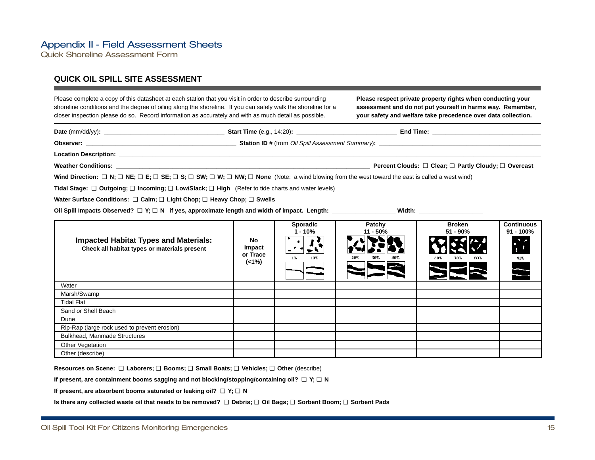## Appendix II - Field Assessment Sheets

Quick Shoreline Assessment Form

## **QUICK OIL SPILL SITE ASSESSMENT**

Please complete a copy of this datasheet at each station that you visit in order to describe surrounding shoreline conditions and the degree of oiling along the shoreline. If you can safely walk the shoreline for a closer inspection please do so. Record information as accurately and with as much detail as possible. **Please respect private property rights when conducting your assessment and do not put yourself in harms way. Remember, your safety and welfare take precedence over data collection. Sporadic 1 - 10% Patchy 11 - 50% Broken 51 - 90% Continuous 91 - 100% No Impact or Trace (<1%) Impacted Habitat Types and Materials: Check all habitat types or materials present** Water Dune Rip-Rap (large rock used to prevent erosion) Bulkhead, Manmade Structures Other Vegetation Marsh/Swamp Tidal Flat Sand or Shell Beach **Date** (mm/dd/yy)**: \_\_\_\_\_\_\_\_\_\_\_\_\_\_\_\_\_\_\_\_\_\_\_\_\_\_\_\_\_\_\_\_\_\_\_\_ Start Time** (e.g., 14:20)**: \_\_\_\_\_\_\_\_\_\_\_\_\_\_\_\_\_\_\_\_\_\_\_\_\_\_\_\_\_\_ End Time: \_\_\_\_\_\_\_\_\_\_\_\_\_\_\_\_\_\_\_\_\_\_\_\_\_\_\_\_\_\_\_\_\_ Observer: \_\_\_\_\_\_\_\_\_\_\_\_\_\_\_\_\_\_\_\_\_\_\_\_\_\_\_\_\_\_\_\_\_\_\_\_\_\_\_\_\_\_\_\_\_ Station ID #** (from Oil Spill Assessment Summary)**: \_\_\_\_\_\_\_\_\_\_\_\_\_\_\_\_\_\_\_\_\_\_\_\_\_\_\_\_\_\_\_\_\_\_\_\_\_\_\_\_\_\_\_\_\_\_\_\_\_ Location Description: \_\_\_\_\_\_\_\_\_\_\_\_\_\_\_\_\_\_\_\_\_\_\_\_\_\_\_\_\_\_\_\_\_\_\_\_\_\_\_\_\_\_\_\_\_\_\_\_\_\_\_\_\_\_\_\_\_\_\_\_\_\_\_\_\_\_\_\_\_\_\_\_\_\_\_\_\_\_\_\_\_\_\_\_\_\_\_\_\_\_\_\_\_\_\_\_\_\_\_\_\_\_\_\_\_\_\_\_\_\_\_\_\_\_\_\_\_\_\_\_\_\_\_\_\_\_\_ Weather Conditions: \_\_\_\_\_\_\_\_\_\_\_\_\_\_\_\_\_\_\_\_\_\_\_\_\_\_\_\_\_\_\_\_\_\_\_\_\_\_\_\_\_\_\_\_\_\_\_\_\_\_\_\_\_\_\_\_\_\_\_\_\_\_\_\_\_\_\_\_\_\_\_\_\_\_\_\_ Percent Clouds:** ❑ **Clear;** ❑ **Partly Cloudy;** ❑ **Overcast Wind Direction:**  $\Box$  **N**;  $\Box$  **NE**;  $\Box$  **SE**;  $\Box$  **SE**;  $\Box$  **SH**;  $\Box$  **W**;  $\Box$  **NW**;  $\Box$  **None** (Note: a wind blowing from the west toward the east is called a west wind) **Tidal Stage:** ❑ **Outgoing;** ❑ **Incoming;** ❑ **Low/Slack;** ❑ **High** (Refer to tide charts and water levels) **Water Surface Conditions:** ❑ **Calm;** ❑ **Light Chop;** ❑ **Heavy Chop;** ❑ **Swells Oil Spill Impacts Observed?** ❑ **Y;** ❑ **N if yes, approximate length and width of impact. Length: \_\_\_\_\_\_\_\_\_\_\_\_\_\_\_\_\_\_\_ Width: \_\_\_\_\_\_\_\_\_\_\_\_\_\_\_\_\_\_\_**

**Resources on Scene:** ❑ **Laborers;** ❑ **Booms;** ❑ **Small Boats;** ❑ **Vehicles;** ❑ **Other** (describe) **\_\_\_\_\_\_\_\_\_\_\_\_\_\_\_\_\_\_\_\_\_\_\_\_\_\_\_\_\_\_\_\_\_\_\_\_\_\_\_\_\_\_\_\_\_\_\_\_\_\_\_\_\_\_\_\_\_\_\_\_\_\_\_\_\_\_**

**If present, are containment booms sagging and not blocking/stopping/containing oil?** ❑ **Y;** ❑ **N**

**If present, are absorbent booms saturated or leaking oil?** ❑ **Y;** ❑ **N**

**Is there any collected waste oil that needs to be removed?** ❑ **Debris;** ❑ **Oil Bags;** ❑ **Sorbent Boom;** ❑ **Sorbent Pads**

Other (describe)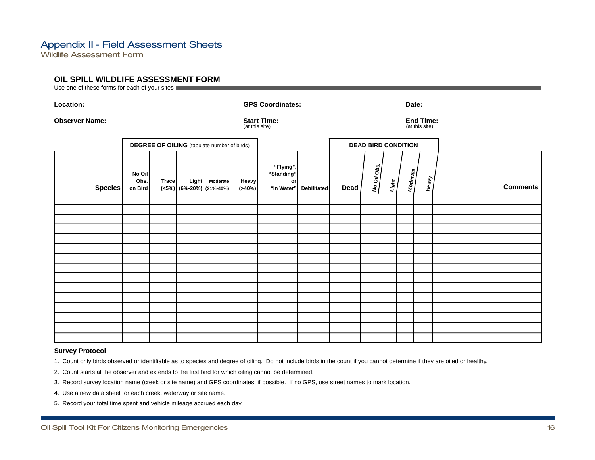## Appendix II - Field Assessment Sheets

Wildlife Assessment Form

## **OIL SPILL WILDLIFE ASSESSMENT FORM**

Use one of these forms for each of your sites

| Location:             |                           | <b>GPS Coordinates:</b>                            |  |                                                   |                      | Date:                                       |                    |      |                            |       |          |       |                                    |  |  |
|-----------------------|---------------------------|----------------------------------------------------|--|---------------------------------------------------|----------------------|---------------------------------------------|--------------------|------|----------------------------|-------|----------|-------|------------------------------------|--|--|
| <b>Observer Name:</b> |                           |                                                    |  |                                                   |                      | <b>Start Time:</b><br>(at this site)        |                    |      |                            |       |          |       | <b>End Time:</b><br>(at this site) |  |  |
|                       |                           | <b>DEGREE OF OILING</b> (tabulate number of birds) |  |                                                   |                      |                                             |                    |      | <b>DEAD BIRD CONDITION</b> |       |          |       |                                    |  |  |
| Species               | No Oil<br>Obs.<br>on Bird | <b>Trace</b>                                       |  | Light Moderate<br>$(\leq 5\%)$ (6%-20%) (21%-40%) | Heavy<br>$( > 40\%)$ | "Flying",<br>"Standing"<br>or<br>"In Water" | <b>Debilitated</b> | Dead | No Oil Obs.                | Light | Moderate | Heavy | <b>Comments</b>                    |  |  |
|                       |                           |                                                    |  |                                                   |                      |                                             |                    |      |                            |       |          |       |                                    |  |  |
|                       |                           |                                                    |  |                                                   |                      |                                             |                    |      |                            |       |          |       |                                    |  |  |
|                       |                           |                                                    |  |                                                   |                      |                                             |                    |      |                            |       |          |       |                                    |  |  |
|                       |                           |                                                    |  |                                                   |                      |                                             |                    |      |                            |       |          |       |                                    |  |  |
|                       |                           |                                                    |  |                                                   |                      |                                             |                    |      |                            |       |          |       |                                    |  |  |
|                       |                           |                                                    |  |                                                   |                      |                                             |                    |      |                            |       |          |       |                                    |  |  |
|                       |                           |                                                    |  |                                                   |                      |                                             |                    |      |                            |       |          |       |                                    |  |  |
|                       |                           |                                                    |  |                                                   |                      |                                             |                    |      |                            |       |          |       |                                    |  |  |
|                       |                           |                                                    |  |                                                   |                      |                                             |                    |      |                            |       |          |       |                                    |  |  |
|                       |                           |                                                    |  |                                                   |                      |                                             |                    |      |                            |       |          |       |                                    |  |  |
|                       |                           |                                                    |  |                                                   |                      |                                             |                    |      |                            |       |          |       |                                    |  |  |
|                       |                           |                                                    |  |                                                   |                      |                                             |                    |      |                            |       |          |       |                                    |  |  |
|                       |                           |                                                    |  |                                                   |                      |                                             |                    |      |                            |       |          |       |                                    |  |  |
|                       |                           |                                                    |  |                                                   |                      |                                             |                    |      |                            |       |          |       |                                    |  |  |

#### **Survey Protocol**

1. Count only birds observed or identifiable as to species and degree of oiling. Do not include birds in the count if you cannot determine if they are oiled or healthy.

2. Count starts at the observer and extends to the first bird for which oiling cannot be determined.

- 3. Record survey location name (creek or site name) and GPS coordinates, if possible. If no GPS, use street names to mark location.
- 4. Use a new data sheet for each creek, waterway or site name.
- 5. Record your total time spent and vehicle mileage accrued each day.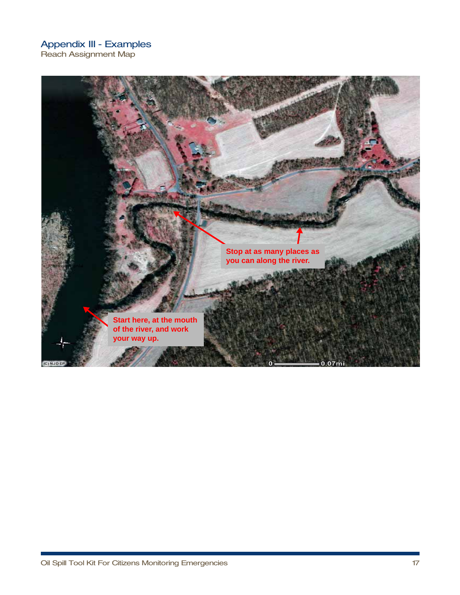Reach Assignment Map

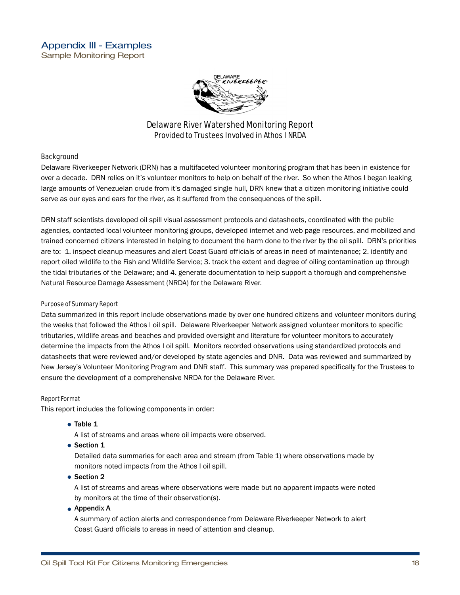

## Delaware River Watershed Monitoring Report Provided to Trustees Involved in Athos I NRDA

## **Background**

Delaware Riverkeeper Network (DRN) has a multifaceted volunteer monitoring program that has been in existence for over a decade. DRN relies on it's volunteer monitors to help on behalf of the river. So when the Athos I began leaking large amounts of Venezuelan crude from it's damaged single hull, DRN knew that a citizen monitoring initiative could serve as our eyes and ears for the river, as it suffered from the consequences of the spill.

DRN staff scientists developed oil spill visual assessment protocols and datasheets, coordinated with the public agencies, contacted local volunteer monitoring groups, developed internet and web page resources, and mobilized and trained concerned citizens interested in helping to document the harm done to the river by the oil spill. DRN's priorities are to: 1. inspect cleanup measures and alert Coast Guard officials of areas in need of maintenance; 2. identify and report oiled wildlife to the Fish and Wildlife Service; 3. track the extent and degree of oiling contamination up through the tidal tributaries of the Delaware; and 4. generate documentation to help support a thorough and comprehensive Natural Resource Damage Assessment (NRDA) for the Delaware River.

## Purpose of Summary Report

Data summarized in this report include observations made by over one hundred citizens and volunteer monitors during the weeks that followed the Athos I oil spill. Delaware Riverkeeper Network assigned volunteer monitors to specific tributaries, wildlife areas and beaches and provided oversight and literature for volunteer monitors to accurately determine the impacts from the Athos I oil spill. Monitors recorded observations using standardized protocols and datasheets that were reviewed and/or developed by state agencies and DNR. Data was reviewed and summarized by New Jersey's Volunteer Monitoring Program and DNR staff. This summary was prepared specifically for the Trustees to ensure the development of a comprehensive NRDA for the Delaware River.

## Report Format

This report includes the following components in order:

- **Table 1**
	- A list of streams and areas where oil impacts were observed.
- **Section 1**

Detailed data summaries for each area and stream (from Table 1) where observations made by monitors noted impacts from the Athos I oil spill.

**Section 2** 

A list of streams and areas where observations were made but no apparent impacts were noted by monitors at the time of their observation(s).

**Appendix A**

A summary of action alerts and correspondence from Delaware Riverkeeper Network to alert Coast Guard officials to areas in need of attention and cleanup.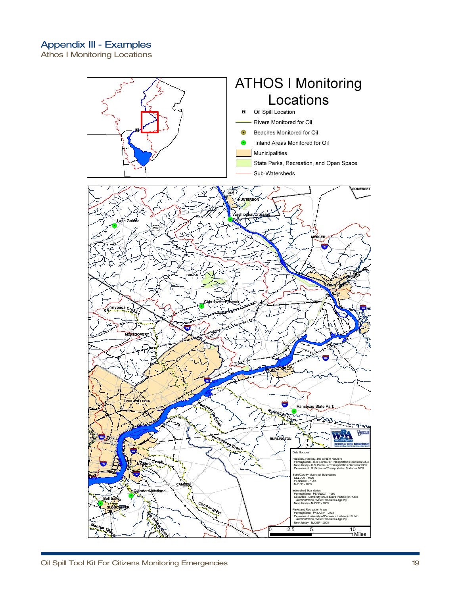Athos I Monitoring Locations

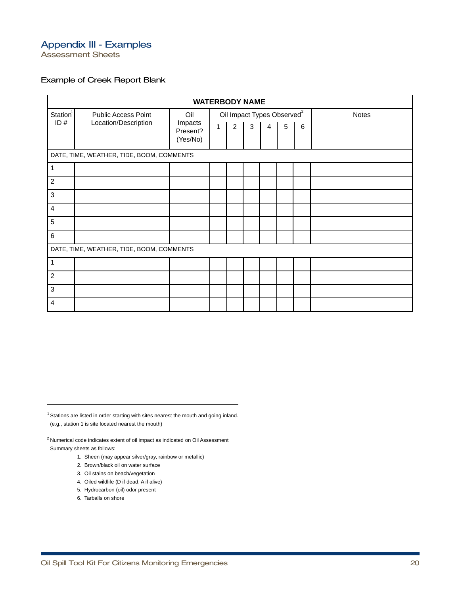Assessment Sheets

## Example of Creek Report Blank

|                      | <b>WATERBODY NAME</b>                     |                                 |   |                |   |                                        |   |   |              |
|----------------------|-------------------------------------------|---------------------------------|---|----------------|---|----------------------------------------|---|---|--------------|
| Station <sup>1</sup> | <b>Public Access Point</b>                | Oil                             |   |                |   | Oil Impact Types Observed <sup>2</sup> |   |   | <b>Notes</b> |
| ID#                  | Location/Description                      | Impacts<br>Present?<br>(Yes/No) | 1 | $\overline{2}$ | 3 | 4                                      | 5 | 6 |              |
|                      | DATE, TIME, WEATHER, TIDE, BOOM, COMMENTS |                                 |   |                |   |                                        |   |   |              |
| 1                    |                                           |                                 |   |                |   |                                        |   |   |              |
| $\overline{c}$       |                                           |                                 |   |                |   |                                        |   |   |              |
| $\mathbf{3}$         |                                           |                                 |   |                |   |                                        |   |   |              |
| $\overline{4}$       |                                           |                                 |   |                |   |                                        |   |   |              |
| 5                    |                                           |                                 |   |                |   |                                        |   |   |              |
| 6                    |                                           |                                 |   |                |   |                                        |   |   |              |
|                      | DATE, TIME, WEATHER, TIDE, BOOM, COMMENTS |                                 |   |                |   |                                        |   |   |              |
| 1                    |                                           |                                 |   |                |   |                                        |   |   |              |
| $\overline{c}$       |                                           |                                 |   |                |   |                                        |   |   |              |
| 3                    |                                           |                                 |   |                |   |                                        |   |   |              |
| $\overline{4}$       |                                           |                                 |   |                |   |                                        |   |   |              |

 $1$  Stations are listed in order starting with sites nearest the mouth and going inland. (e.g., station 1 is site located nearest the mouth)

 $2$  Numerical code indicates extent of oil impact as indicated on Oil Assessment Summary sheets as follows:

1. Sheen (may appear silver/gray, rainbow or metallic)

- 2. Brown/black oil on water surface
- 3. Oil stains on beach/vegetation
- 4. Oiled wildlife (D if dead, A if alive)
- 5. Hydrocarbon (oil) odor present
- 6. Tarballs on shore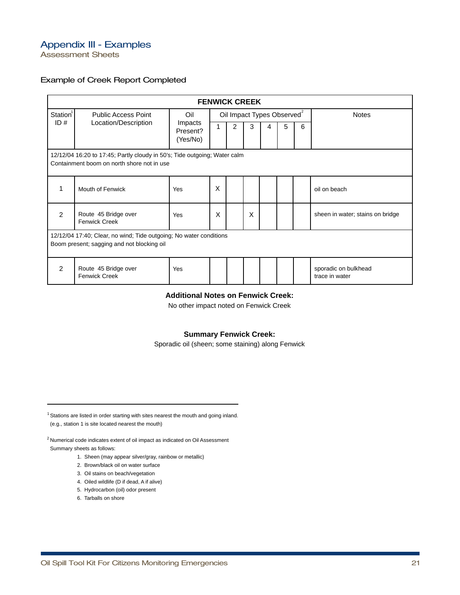Assessment Sheets

## Example of Creek Report Completed

|                                                                                                                  | <b>FENWICK CREEK</b>                                                                                                    |                |   |                                        |   |              |   |   |                                        |
|------------------------------------------------------------------------------------------------------------------|-------------------------------------------------------------------------------------------------------------------------|----------------|---|----------------------------------------|---|--------------|---|---|----------------------------------------|
| Station <sup>1</sup>                                                                                             | <b>Public Access Point</b>                                                                                              | Oil<br>Impacts |   | Oil Impact Types Observed <sup>2</sup> |   | <b>Notes</b> |   |   |                                        |
|                                                                                                                  | ID#<br>Location/Description                                                                                             |                |   | 2                                      | 3 | 4            | 5 | 6 |                                        |
|                                                                                                                  | 12/12/04 16:20 to 17:45; Partly cloudy in 50's; Tide outgoing; Water calm<br>Containment boom on north shore not in use |                |   |                                        |   |              |   |   |                                        |
| 1                                                                                                                | Mouth of Fenwick                                                                                                        | Yes            | X |                                        |   |              |   |   | oil on beach                           |
| $\mathfrak{p}$                                                                                                   | Route 45 Bridge over<br><b>Fenwick Creek</b>                                                                            | Yes            | X |                                        | X |              |   |   | sheen in water; stains on bridge       |
| 12/12/04 17:40; Clear, no wind; Tide outgoing; No water conditions<br>Boom present; sagging and not blocking oil |                                                                                                                         |                |   |                                        |   |              |   |   |                                        |
| $\mathcal{P}$                                                                                                    | Route 45 Bridge over<br><b>Fenwick Creek</b>                                                                            | Yes            |   |                                        |   |              |   |   | sporadic on bulkhead<br>trace in water |

## **Additional Notes on Fenwick Creek:**

No other impact noted on Fenwick Creek

## **Summary Fenwick Creek:**

Sporadic oil (sheen; some staining) along Fenwick

 $1$  Stations are listed in order starting with sites nearest the mouth and going inland. (e.g., station 1 is site located nearest the mouth)

 $2$ Numerical code indicates extent of oil impact as indicated on Oil Assessment

Summary sheets as follows:

1. Sheen (may appear silver/gray, rainbow or metallic)

- 2. Brown/black oil on water surface
- 3. Oil stains on beach/vegetation
- 4. Oiled wildlife (D if dead, A if alive)
- 5. Hydrocarbon (oil) odor present
- 6. Tarballs on shore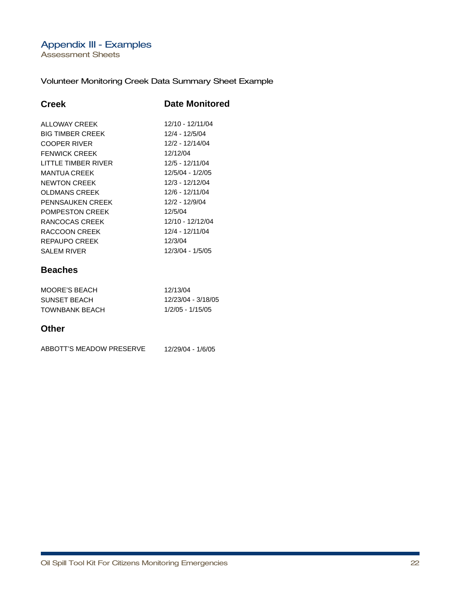Assessment Sheets

## Volunteer Monitoring Creek Data Summary Sheet Example

| Creek                      | <b>Date Monitored</b> |
|----------------------------|-----------------------|
| ALLOWAY CREEK              | 12/10 - 12/11/04      |
| <b>BIG TIMBER CREEK</b>    | 12/4 - 12/5/04        |
| COOPER RIVER               | 12/2 - 12/14/04       |
| <b>FENWICK CREEK</b>       | 12/12/04              |
| <b>LITTLE TIMBER RIVER</b> | 12/5 - 12/11/04       |
| <b>MANTUA CREEK</b>        | 12/5/04 - 1/2/05      |
| NEWTON CREEK               | 12/3 - 12/12/04       |
| <b>OLDMANS CREEK</b>       | 12/6 - 12/11/04       |
| <b>PENNSAUKEN CREEK</b>    | 12/2 - 12/9/04        |
| <b>POMPESTON CREEK</b>     | 12/5/04               |
| RANCOCAS CREEK             | 12/10 - 12/12/04      |
| RACCOON CREEK              | 12/4 - 12/11/04       |
| <b>REPAUPO CREEK</b>       | 12/3/04               |
| <b>SALEM RIVER</b>         | 12/3/04 - 1/5/05      |
| <b>Beaches</b>             |                       |
| <b>MOORE'S BEACH</b>       | 12/13/04              |
| SUNSET BEACH               | 12/23/04 - 3/18/05    |
| <b>TOWNBANK BEACH</b>      | 1/2/05 - 1/15/05      |
| Other                      |                       |

| ABBOTT'S MEADOW PRESERVE | 12/29/04 - 1/6/05 |
|--------------------------|-------------------|
|                          |                   |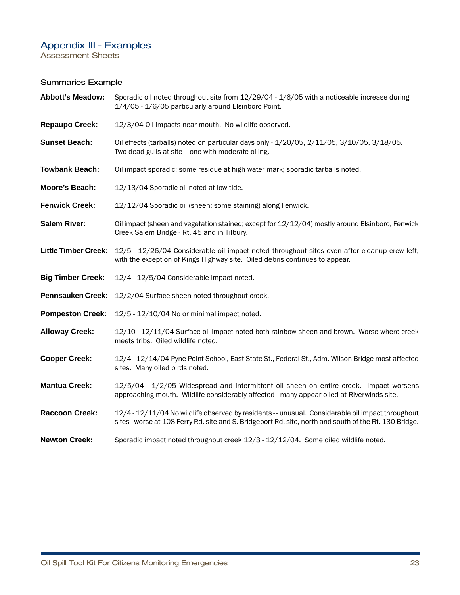Assessment Sheets

## Summaries Example

| <b>Abbott's Meadow:</b>     | Sporadic oil noted throughout site from 12/29/04 - 1/6/05 with a noticeable increase during<br>1/4/05 - 1/6/05 particularly around Elsinboro Point.                                                        |
|-----------------------------|------------------------------------------------------------------------------------------------------------------------------------------------------------------------------------------------------------|
| <b>Repaupo Creek:</b>       | 12/3/04 Oil impacts near mouth. No wildlife observed.                                                                                                                                                      |
| <b>Sunset Beach:</b>        | Oil effects (tarballs) noted on particular days only - 1/20/05, 2/11/05, 3/10/05, 3/18/05.<br>Two dead gulls at site - one with moderate oiling.                                                           |
| <b>Towbank Beach:</b>       | Oil impact sporadic; some residue at high water mark; sporadic tarballs noted.                                                                                                                             |
| Moore's Beach:              | 12/13/04 Sporadic oil noted at low tide.                                                                                                                                                                   |
| <b>Fenwick Creek:</b>       | 12/12/04 Sporadic oil (sheen; some staining) along Fenwick.                                                                                                                                                |
| <b>Salem River:</b>         | Oil impact (sheen and vegetation stained; except for 12/12/04) mostly around Elsinboro, Fenwick<br>Creek Salem Bridge - Rt. 45 and in Tilbury.                                                             |
| <b>Little Timber Creek:</b> | 12/5 - 12/26/04 Considerable oil impact noted throughout sites even after cleanup crew left,<br>with the exception of Kings Highway site. Oiled debris continues to appear.                                |
| <b>Big Timber Creek:</b>    | 12/4 - 12/5/04 Considerable impact noted.                                                                                                                                                                  |
| <b>Pennsauken Creek:</b>    | 12/2/04 Surface sheen noted throughout creek.                                                                                                                                                              |
| <b>Pompeston Creek:</b>     | 12/5 - 12/10/04 No or minimal impact noted.                                                                                                                                                                |
| <b>Alloway Creek:</b>       | 12/10 - 12/11/04 Surface oil impact noted both rainbow sheen and brown. Worse where creek<br>meets tribs. Oiled wildlife noted.                                                                            |
| <b>Cooper Creek:</b>        | 12/4 - 12/14/04 Pyne Point School, East State St., Federal St., Adm. Wilson Bridge most affected<br>sites. Many oiled birds noted.                                                                         |
| <b>Mantua Creek:</b>        | 12/5/04 - 1/2/05 Widespread and intermittent oil sheen on entire creek. Impact worsens<br>approaching mouth. Wildlife considerably affected - many appear oiled at Riverwinds site.                        |
| <b>Raccoon Creek:</b>       | 12/4 - 12/11/04 No wildlife observed by residents -- unusual. Considerable oil impact throughout<br>sites - worse at 108 Ferry Rd. site and S. Bridgeport Rd. site, north and south of the Rt. 130 Bridge. |
| <b>Newton Creek:</b>        | Sporadic impact noted throughout creek 12/3 - 12/12/04. Some oiled wildlife noted.                                                                                                                         |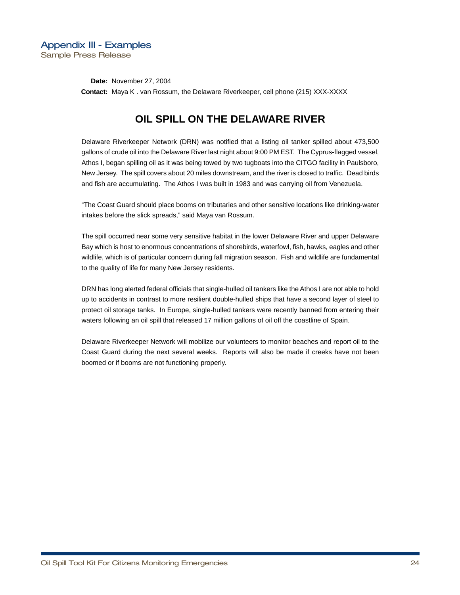**Date: November 27, 2004 Contact:** Maya K. van Rossum, the Delaware Riverkeeper, cell phone (215) XXX-XXXX

# **OIL SPILL ON THE DELAWARE RIVER**

Delaware Riverkeeper Network (DRN) was notified that a listing oil tanker spilled about 473,500 gallons of crude oil into the Delaware River last night about 9:00 PM EST. The Cyprus-flagged vessel, Athos I, began spilling oil as it was being towed by two tugboats into the CITGO facility in Paulsboro, New Jersey. The spill covers about 20 miles downstream, and the river is closed to traffic. Dead birds and fish are accumulating. The Athos I was built in 1983 and was carrying oil from Venezuela.

"The Coast Guard should place booms on tributaries and other sensitive locations like drinking-water intakes before the slick spreads," said Maya van Rossum.

The spill occurred near some very sensitive habitat in the lower Delaware River and upper Delaware Bay which is host to enormous concentrations of shorebirds, waterfowl, fish, hawks, eagles and other wildlife, which is of particular concern during fall migration season. Fish and wildlife are fundamental to the quality of life for many New Jersey residents.

DRN has long alerted federal officials that single-hulled oil tankers like the Athos I are not able to hold up to accidents in contrast to more resilient double-hulled ships that have a second layer of steel to protect oil storage tanks. In Europe, single-hulled tankers were recently banned from entering their waters following an oil spill that released 17 million gallons of oil off the coastline of Spain.

Delaware Riverkeeper Network will mobilize our volunteers to monitor beaches and report oil to the Coast Guard during the next several weeks. Reports will also be made if creeks have not been boomed or if booms are not functioning properly.